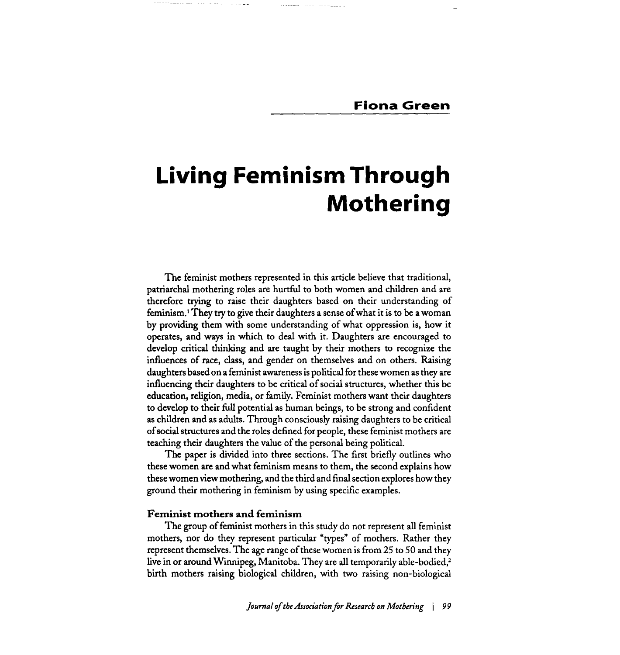# **Living Feminism Through Mothering**

The feminist mothers represented in this article believe that traditional, patriarchal mothering roles are hurtful to both women and children and are therefore trying to raise their daughters based on their understanding of feminism.' They try to give their daughters a sense of what it is to be a woman by providing them with some understanding of what oppression is, how it operates, and ways in which to deal with it. Daughters are encouraged to develop critical thinking and are taught by their mothers to recognize the influences of race, class, and gender on themselves and on others. Raising daughters based on a feminist awareness is political for these women as they are influencing their daughters to be critical of social structures, whether this be education, religion, media, or family. Feminist mothers want their daughters to develop to their fdI potential as human beings, to be strong and confident as children and as adults. Through consciously raising daughters to be critical of social structures and the roles defined for people, these feminist mothers are teaching their daughters the value of the personal being political.

The paper is divided into three sections. The first briefly outlines who these women are and what feminism means to them, the second explains how these women view mothering, and the third and final section explores how they ground their mothering in feminism by using specific examples.

### **Feminist mothers and feminism**

The group of feminist mothers in this study do not represent **all** feminist mothers, nor do they represent particular "types" of mothers. Rather they represent themselves. The age range of these women is from 25 to 50 and they live in or around Winnipeg, Manitoba. They are **all** temporarily able-bodied: birth mothers raising biological children, with two raising non-biological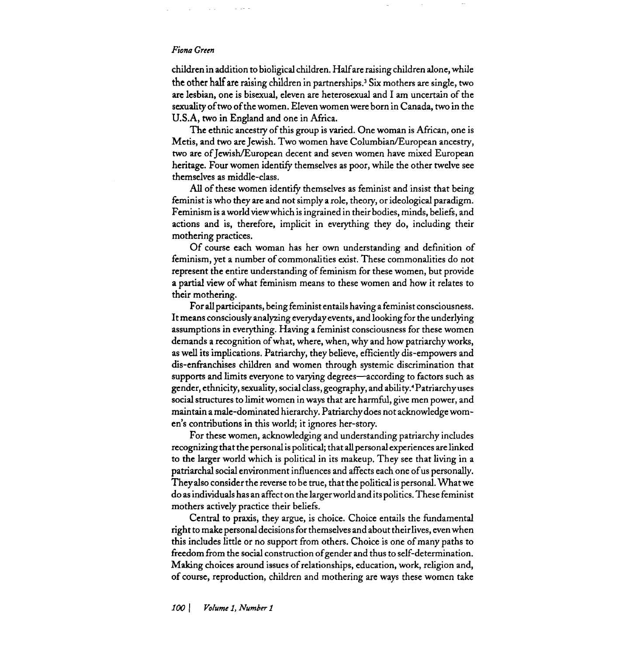#### *Fiona Green*

children in addition to bioligical children. Halfare raising children alone, while the other half are raising children in partnerships.' Six mothers are single, two are lesbian, one is bisexual, eleven are heterosexual and I am uncertain of the sexuality of two of the women. Eleven women were born in Canada, two in the **U.S.A,** two in England and one in Africa.

The ethnic ancestry of this group is varied. One woman is African, one is Metis, and two are Jewish. Two women have Columbian/European ancestry, two are of Jewish/European decent and seven women have mixed European heritage. Four women identify themselves as poor, while the other twelve see themselves as middle-class.

All of these women identify themselves as feminist and insist that being feminist is who they are and not simply a role, theory, or ideological paradigm. Feminism is a world viewwhich is ingrained in their bodies, minds, beliefs, and actions and is, therefore, implicit in everything they do, including their mothering practices.

Of course each woman has her own understanding and definition of feminism, yet a number of commonalities exist. These commonalities do not represent the entire understanding of feminism for these women, but provide a partial view of what feminism means to these women and how it relates to their mothering.

For all participants, being feminist entails having a feminist consciousness. It means consciously analyzing everyday events, and looking for the underlying assumptions in everything. Having a feminist consciousness for these women demands a recognition of what, where, when, why and how patriarchy works, as well its implications. Patriarchy, they believe, efficiently dis-empowers and dis-enfranchises children and women through systemic discrimination that supports and limits everyone to varying degrees—according to factors such as gender, ethnicity, sexuality, social class, geography, and ability.4 Patriarchy uses social structures to limit women in ways that are harmfid, give men power, and maintain a male-dominated hierarchy. Patriarchy does not acknowledge women's contributions in this world; it ignores her-story.

For these women, acknowledging and understanding patriarchy includes recognizing that the personal is political; that all personal experiences are linked to the larger world which is political in its makeup. They see that living in a patriarchal social environment influences and affects each one of us personally. They also consider the reverse to be true, that the political is personal. What we do as individuals has an affect on the largerworld and its politics. These feminist mothers actively practice their beliefs.

Central to praxis, they argue, is choice. Choice entails the fundamental right to make personal decisions for themselves and about their lives, even when this includes little or no support from others. Choice is one of many paths to fieedom from the social construction ofgender and thus to self-determination. Making choices around issues of relationships, education, work, religion and, of course, reproduction, children and mothering are ways these women take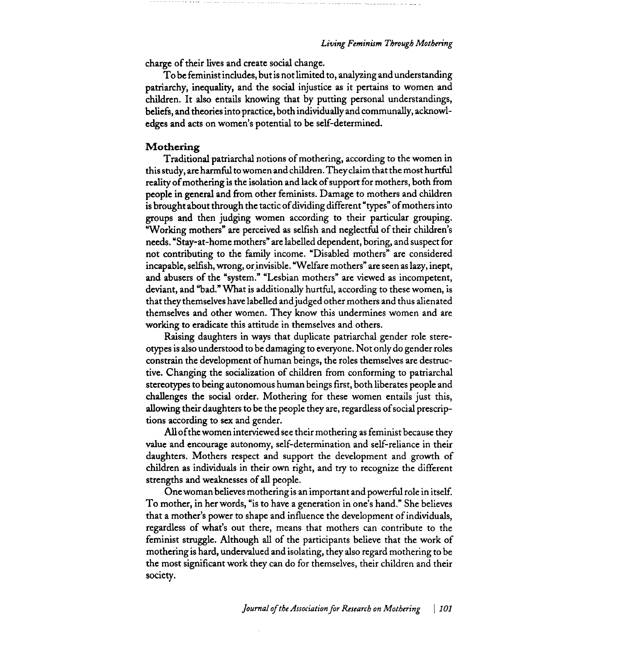charge of their lives and create social change.

To be feminist includes, but is not limited to, analyzing and understanding patriarchy, inequality, and the social injustice as it pertains to women and children. It also entails knowing that by putting personal understandings, beliefs, and theories into practice, both individually and communally, acknowledges and acts on women's potential to be self-determined.

#### **Mothering**

Traditional patriarchal notions of mothering, according to the women in this study, are harmful to women and children. They claim that the most hurtful reality of mothering is the isolation and lack of support for mothers, both from people in general and from other feminists. Damage to mothers and children is brought about through the tactic of dividing different "types" of mothers into groups and then judging women according to their particular grouping. "Working mothers" are perceived as selfish and neglectful of their children's needs. "Stay-at-home mothers" are labelled dependent, boring, and suspect for not contributing to the family income. "Disabled mothers" are considered incapable, selfish, wrong, or invisible. "Welfare mothers" are seen as lazy, inept, and abusers of the "system." "Lesbian mothers" are viewed as incompetent, deviant, and "bad." What is additionally hurtful, according to these women, is that they themselves have labelled and judged other mothers and thus alienated themselves and other women. They know this undermines women and are working to eradicate this attitude in themselves and others.

Raising daughters in ways that duplicate patriarchal gender role stereotypes is also understood to be damaging to everyone. Not only do gender roles constrain the development of human beings, the roles themselves are destructive. Changing the socialization of children from conforming to patriarchal stereotypes to being autonomous human beings first, both liberates people and challenges the social order. Mothering for these women entails just this, allowing their daughters to be the people they are, regardless of social prescriptions according to sex and gender.

All ofthe women interviewed see their mothering as feminist because they value and encourage autonomy, self-determination and self-reliance in their daughters. Mothers respect and support the development and growth of children as individuals in their own right, and try to recognize the different strengths and weaknesses of **all** people.

One woman believes mothering is an important and powerful role in itself. To mother, in her words, "is to have a generation in one's hand." She believes that a mother's power to shape and influence the development of individuals, regardless of what's out there, means that mothers can contribute to the feminist struggle. Although **all** of the participants believe that the work of mothering is hard, undervalued and isolating, they also regard mothering to be the most significant work they can do for themselves, their children and their society.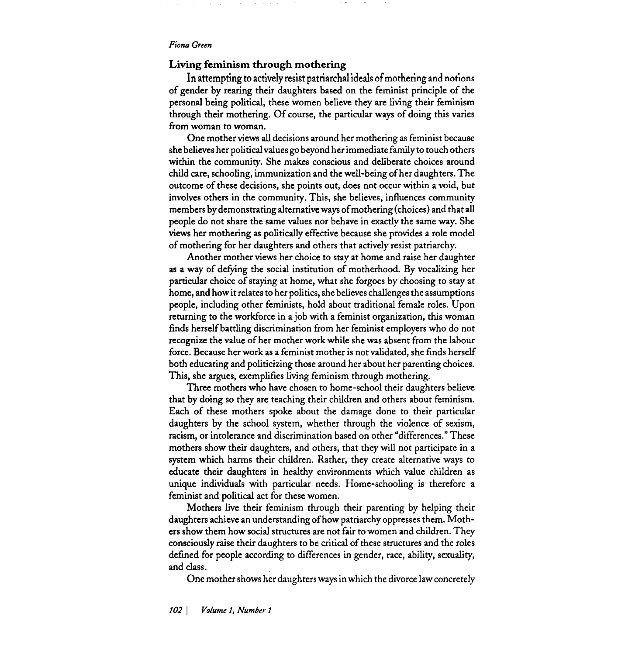#### *Fiona Green*

# **Living feminism through mothering**

In attempting to actively resist patriarchal ideals of mothering and notions of gender by rearing their daughters based on the feminist principle of the personal being political, these women believe they are living their feminism through their mothering. Of course, the particular ways of doing this varies from woman to woman.

One mother views all decisions around her mothering as feminist because she believes her political values go beyond her immediate family to touch others within the community. She makes conscious and deliberate choices around &id care, schooling, immunization and the well-being of her daughters. The outcome of these decisions, she points out, does not occur within a void, but involves others in the community. This, she believes, influences community members by demonstrating alternative ways of mothering (choices) and that all people do not share the same values nor behave in exactly the same way. She views her mothering as politically effective because she provides a role model of mothering for her daughters and others that actively resist patriarchy.

Another mother views her choice to stay at home and raise her daughter as a way of defying the social institution of motherhood. By vocalizing her particular choice of staying at home, what she forgoes by choosing to stay at home, and how it relates to her politics, she believes challenges the assumptions people, including other feminists, hold about traditional female roles. Upon returning to the workforce in a job with a feminist organization, this woman finds herself battling discrimination from her feminist employers who do not recognize the value of her mother work while she was absent from the labour force. Because her work as a feminist mother is not validated, she finds herself both educating and politicizing those around her about her parenting choices. This, she argues, exemplifies living feminism through mothering.

Three mothers who have chosen to home-school their daughters believe that by doing so they are teaching their children and others about feminism. Each of these mothers spoke about the damage done to their particular daughters by the school system, whether through the violence of sexism, racism, or intolerance and discrimination based on other "differences." These mothers show their daughters, and others, that they will not participate in a system which harms their children. Rather, they create alternative ways to educate their daughters in healthy environments which value children as unique individuals with particular needs. Home-schooling is therefore a feminist and political act for these women.

Mothers live their feminism through their parenting by helping their daughters achieve an understanding of how patriarchy oppresses them. Mothers show them how social structures are not fair to women and children. They consciously raise their daughters to be critical of these structures and the roles defined for people according to differences in gender, race, ability, sexuality, and class.

One mother shows her daughters ways in which the divorce law concretely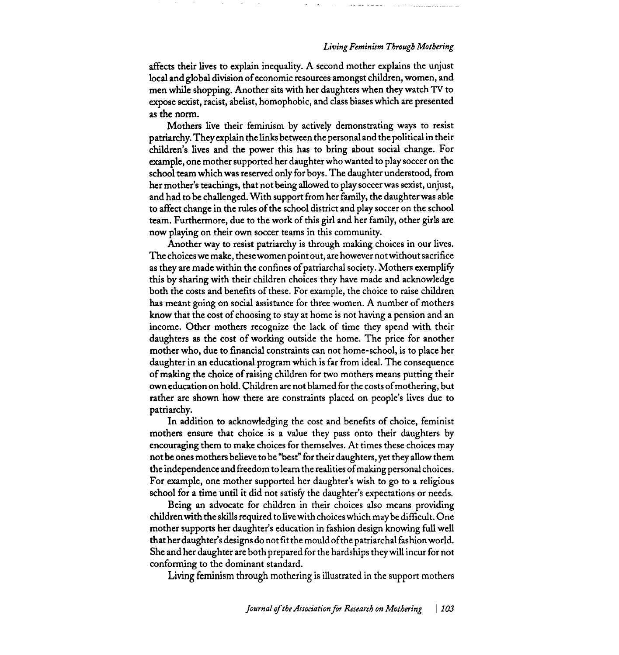## Living Feminism Through Mothering

affects their lives to explain inequality. A second mother explains the unjust local and global division of economic resources amongst children, women, and men while shopping. Another sits with her daughters when they watch TV to expose sexist, racist, abelist, homophobic, and class biases which are presented as the norm.

Mothers live their feminism by actively demonstrating ways to resist patriarchy. They explain the links between the personal and the political in their children's lives and the power this has to bring about social change. For example, one mother supported her daughter who wanted to play soccer on the school team which was reserved only for boys. The daughter understood, from her mother's teachings, that not being allowed to play soccer was sexist, unjust, and had to be challenged. With support from her family, the daughter was able to affect change in the rules of the school district and play soccer on the school team. Furthermore, due to the work of this girl and her family, other girls are now playing on their own soccer teams in this community.

Another way to resist patriarchy is through making choices in our lives. The choices we make, thesewomen point out, are however not without sacrifice as they are made within the confines of patriarchal society. Mothers exemplify this by sharing with their children choices they have made and acknowledge both the costs and benefits of these. For example, the choice to raise children has meant going on social assistance for three women. A number of mothers know that the cost of choosing to stay at home is not having a pension and an income. Other mothers recognize the lack of time they spend with their daughters as the cost of working outside the home. The price for another mother who, due to financial constraints can not home-school, is to place her daughter in an educational program which is far from ideal. The consequence of making the choice of raising children for two mothers means putting their own education on hold. Children are not blamed for the costs of mothering, but rather are shown how there are constraints placed on people's lives due to patriarchy.

In addition to acknowledging the cost and benefits of choice, feminist mothers ensure that choice is a value they pass onto their daughters by encouraging them to make choices for themselves. At times these choices may not be ones mothers believe to be "best" for their daughters, yet they allow them the independence and freedom to learn the realities ofmaking personal choices. For example, one mother supported her daughter's wish to go to a religious school for a time until it did not satisfy the daughter's expectations or needs.

Being an advocate for children in their choices also means providing children with the skills required to live with choices which may be difficult. One mother supports her daughter's education in fashion design knowing full well that her daughter's designs do not fit the mould of the patriarchal fashion world. She and her daughter are both prepared for the hardships they will incur for not conforming to the dominant standard.

Living feminism through mothering is illustrated in the support mothers